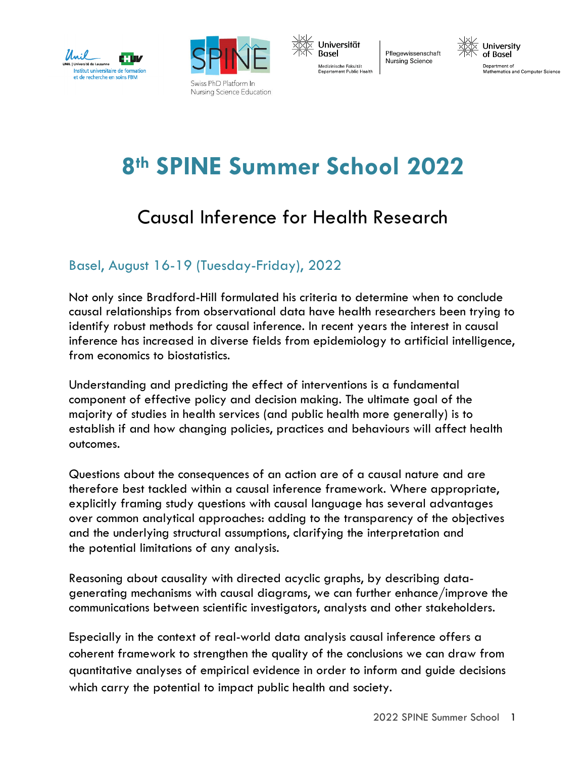





Pflegewissenschaft **Nursing Science** 



# **8th SPINE Summer School 2022**

## Causal Inference for Health Research

## Basel, August 16-19 (Tuesday-Friday), 2022

Not only since Bradford-Hill formulated his criteria to determine when to conclude causal relationships from observational data have health researchers been trying to identify robust methods for causal inference. In recent years the interest in causal inference has increased in diverse fields from epidemiology to artificial intelligence, from economics to biostatistics.

Understanding and predicting the effect of interventions is a fundamental component of effective policy and decision making. The ultimate goal of the majority of studies in health services (and public health more generally) is to establish if and how changing policies, practices and behaviours will affect health outcomes.

Questions about the consequences of an action are of a causal nature and are therefore best tackled within a causal inference framework. Where appropriate, explicitly framing study questions with causal language has several advantages over common analytical approaches: adding to the transparency of the objectives and the underlying structural assumptions, clarifying the interpretation and the potential limitations of any analysis.

Reasoning about causality with directed acyclic graphs, by describing datagenerating mechanisms with causal diagrams, we can further enhance/improve the communications between scientific investigators, analysts and other stakeholders.

Especially in the context of real-world data analysis causal inference offers a coherent framework to strengthen the quality of the conclusions we can draw from quantitative analyses of empirical evidence in order to inform and guide decisions which carry the potential to impact public health and society.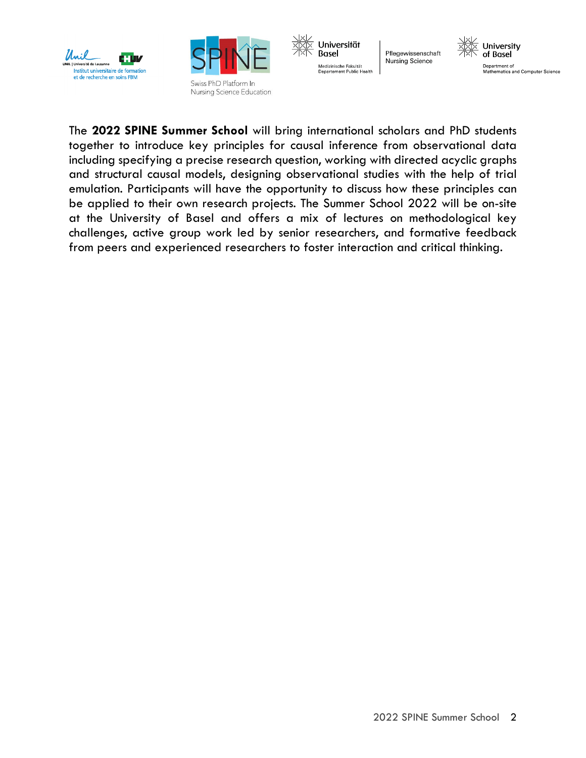





Pflegewissenschaft **Nursing Science** 



The **2022 SPINE Summer School** will bring international scholars and PhD students together to introduce key principles for causal inference from observational data including specifying a precise research question, working with directed acyclic graphs and structural causal models, designing observational studies with the help of trial emulation. Participants will have the opportunity to discuss how these principles can be applied to their own research projects. The Summer School 2022 will be on-site at the University of Basel and offers a mix of lectures on methodological key challenges, active group work led by senior researchers, and formative feedback from peers and experienced researchers to foster interaction and critical thinking.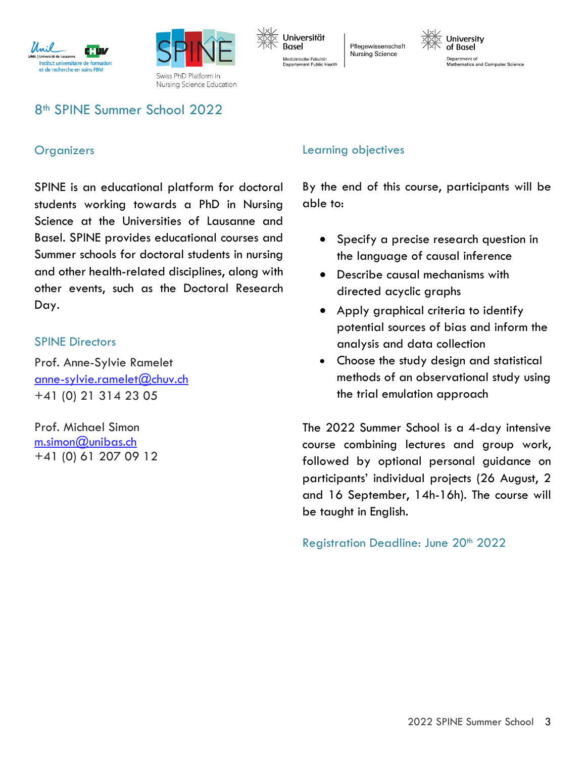



Universität Basel Medizinische Fakultät Departement Public Health

Pflegewissenschaft **Nursing Science** 

University of Basel Department of Mathematics and Computer Science

## 8th SPINE Summer School 2022

#### **Organizers**

SPINE is an educational platform for doctoral students working towards a PhD in Nursing Science at the Universities of Lausanne and Basel. SPINE provides educational courses and Summer schools for doctoral students in nursing and other health-related disciplines, along with other events, such as the Doctoral Research Day.

#### SPINE Directors

Prof. Anne-Sylvie Ramelet [anne-sylvie.ramelet@chuv.ch](mailto:anne-sylvie.ramelet@chuv.ch) +41 (0) 21 314 23 05

Prof. Michael Simon  $m.simon@unibas.ch$ +41 (0) 61 207 09 12

## Learning objectives

By the end of this course, participants will be able to:

- Specify a precise research question in the language of causal inference
- Describe causal mechanisms with directed acyclic graphs
- Apply graphical criteria to identify potential sources of bias and inform the analysis and data collection
- Choose the study design and statistical methods of an observational study using the trial emulation approach

The 2022 Summer School is a 4-day intensive course combining lectures and group work, followed by optional personal guidance on participants' individual projects (26 August, 2 and 16 September, 14h-16h). The course will be taught in English.

Registration Deadline: June 20th 2022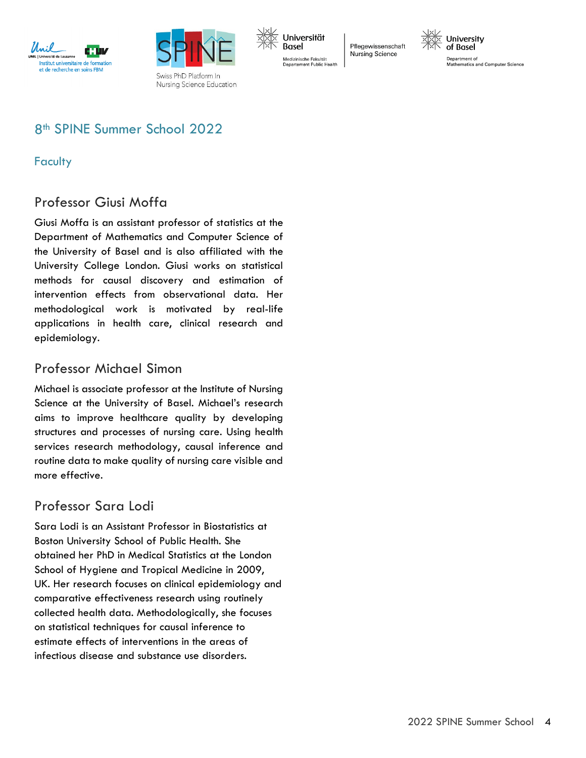



Universität Basel Medizinische Fakultät Departement Public Health

Pflegewissenschaft **Nursing Science** 



Department of Mathematics and Computer Science

## 8th SPINE Summer School 2022

## **Faculty**

## Professor Giusi Moffa

Giusi Moffa is an assistant professor of statistics at the Department of Mathematics and Computer Science of the University of Basel and is also affiliated with the University College London. Giusi works on statistical methods for causal discovery and estimation of intervention effects from observational data. Her methodological work is motivated by real-life applications in health care, clinical research and epidemiology.

## Professor Michael Simon

Michael is associate professor at the Institute of Nursing Science at the University of Basel. Michael's research aims to improve healthcare quality by developing structures and processes of nursing care. Using health services research methodology, causal inference and routine data to make quality of nursing care visible and more effective.

## Professor Sara Lodi

Sara Lodi is an Assistant Professor in Biostatistics at Boston University School of Public Health. She obtained her PhD in Medical Statistics at the London School of Hygiene and Tropical Medicine in 2009, UK. Her research focuses on clinical epidemiology and comparative effectiveness research using routinely collected health data. Methodologically, she focuses on statistical techniques for causal inference to estimate effects of interventions in the areas of infectious disease and substance use disorders.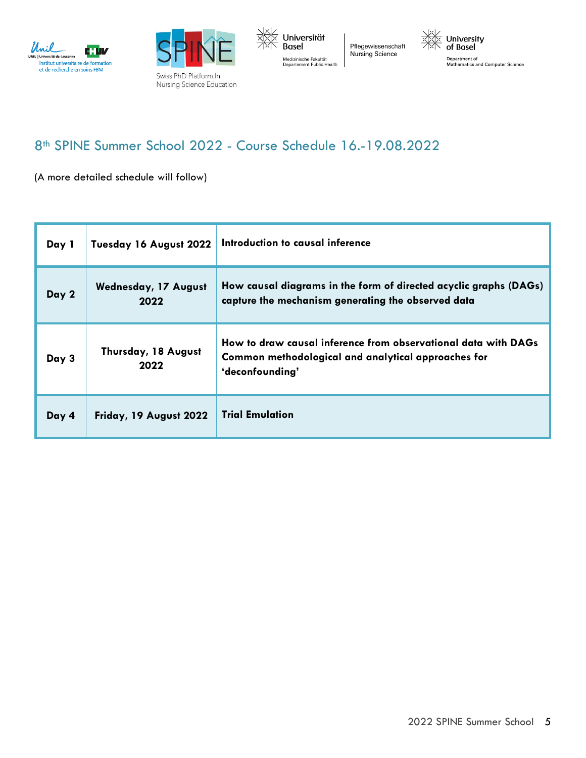





Pflegewissenschaft Nursing Science



Department of<br>Mathematics and Computer Science

## 8th SPINE Summer School 2022 - Course Schedule 16.-19.08.2022

(A more detailed schedule will follow)

| Day 1 | Tuesday 16 August 2022              | Introduction to causal inference                                                                                                         |
|-------|-------------------------------------|------------------------------------------------------------------------------------------------------------------------------------------|
| Day 2 | <b>Wednesday, 17 August</b><br>2022 | How causal diagrams in the form of directed acyclic graphs (DAGs)<br>capture the mechanism generating the observed data                  |
| Day 3 | Thursday, 18 August<br>2022         | How to draw causal inference from observational data with DAGs<br>Common methodological and analytical approaches for<br>'deconfounding' |
| Day 4 | Friday, 19 August 2022              | <b>Trial Emulation</b>                                                                                                                   |